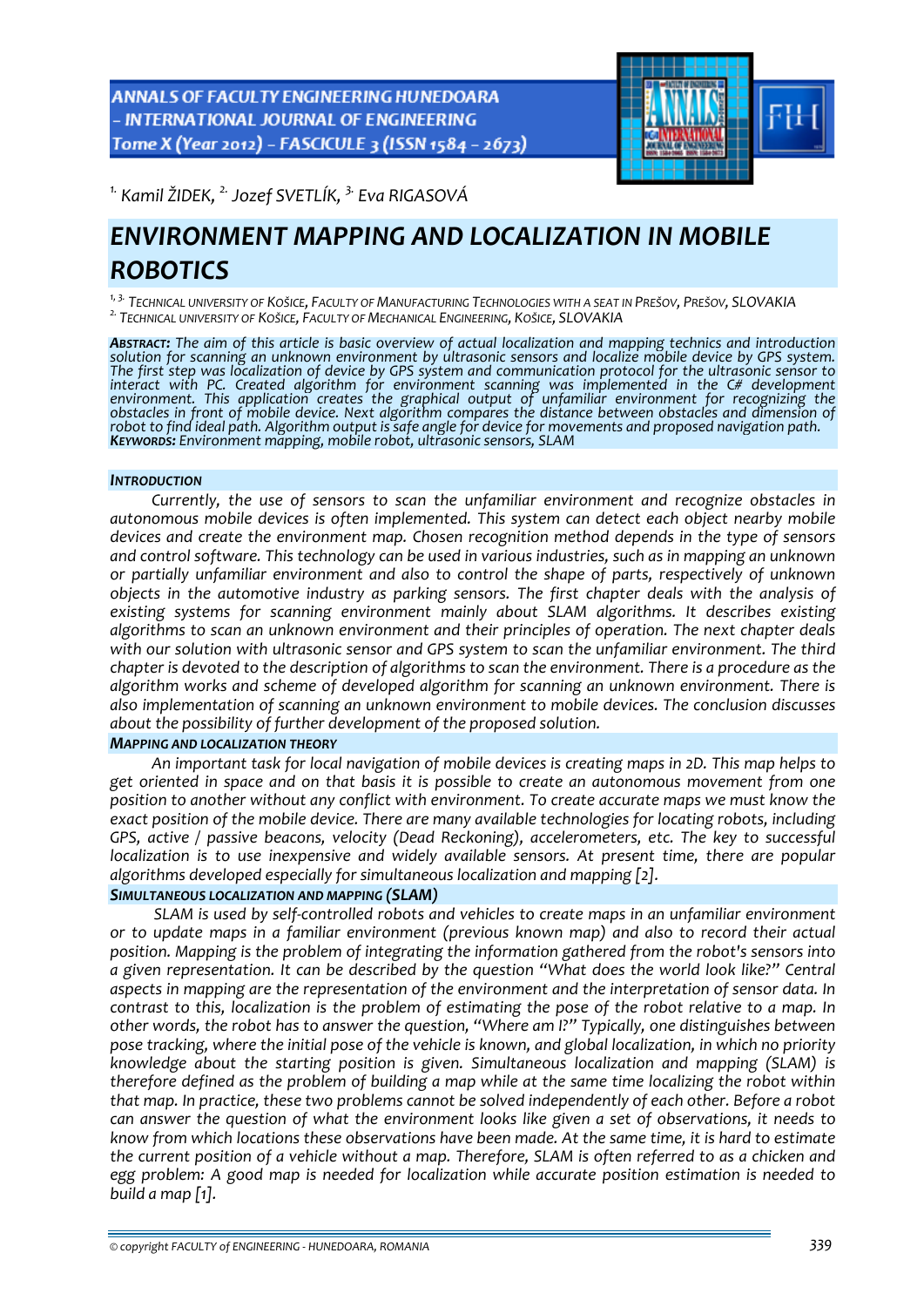**ANNALS OF FACULTY ENGINEERING HUNEDOARA** - INTERNATIONAL JOURNAL OF ENGINEERING Tome X (Year 2012) - FASCICULE 3 (ISSN 1584 - 2673)



*1. Kamil ŽIDEK, 2. Jozef SVETLÍK, 3. Eva RIGASOVÁ* 

# *ENVIRONMENT MAPPING AND LOCALIZATION IN MOBILE ROBOTICS*

<sup>1, 3.</sup> Technical university of Košice, Faculty of Manufacturing Technologies with a seat in Prešov, Prešov, SLOVAKIA<br><sup>2.</sup> Technical university of Košice, Faculty of Mechanical Engineering, Košice, SLOVAKIA

ABSTRACT: The aim of this article is basic overview of actual localization and mapping technics and introduction<br>solution for scanning an unknown environment by ultrasonic sensors and localize mobile device by GPS system. solution for scanning an unknown environment by ultrasonic sensors and localize mobile device by GPS system.<br>The first step was localization of device by GPS system and communication protocol for the ultrasonic sensor to *interact with PC. Created algorithm for environment scanning was implemented in the C# development environment. This application creates the graphical output of unfamiliar environment for recognizing the* obstacles in front of mobile device. Next algorithm compares the distance between obstacles and dimension of<br>robot to find ideal path. Algorithm output is safe angle for device for movements and proposed navigation path.<br>K

#### *INTRODUCTION*

*Currently, the use of sensors to scan the unfamiliar environment and recognize obstacles in autonomous mobile devices is often implemented. This system can detect each object nearby mobile devices and create the environment map. Chosen recognition method depends in the type of sensors and control software. This technology can be used in various industries, such as in mapping an unknown or partially unfamiliar environment and also to control the shape of parts, respectively of unknown objects in the automotive industry as parking sensors. The first chapter deals with the analysis of existing systems for scanning environment mainly about SLAM algorithms. It describes existing algorithms to scan an unknown environment and their principles of operation. The next chapter deals with our solution with ultrasonic sensor and GPS system to scan the unfamiliar environment. The third* chapter is devoted to the description of algorithms to scan the environment. There is a procedure as the *algorithm works and scheme of developed algorithm for scanning an unknown environment. There is also implementation of scanning an unknown environment to mobile devices. The conclusion discusses about the possibility of further development of the proposed solution.*

#### *MAPPING AND LOCALIZATION THEORY*

*An important task for local navigation of mobile devices is creating maps in 2D. This map helps to get oriented in space and on that basis it is possible to create an autonomous movement from one position to another without any conflict with environment. To create accurate maps we must know the exact position of the mobile device. There are many available technologies for locating robots, including GPS, active / passive beacons, velocity (Dead Reckoning), accelerometers, etc. The key to successful localization is to use inexpensive and widely available sensors. At present time, there are popular algorithms developed especially for simultaneous localization and mapping [2].*

# *SIMULTANEOUS LOCALIZATION AND MAPPING (SLAM)*

*SLAM is used by self‐controlled robots and vehicles to create maps in an unfamiliar environment or to update maps in a familiar environment (previous known map) and also to record their actual position. Mapping is the problem of integrating the information gathered from the robot's sensors into a given representation. It can be described by the question "What does the world look like?" Central aspects in mapping are the representation of the environment and the interpretation of sensor data. In* contrast to this, localization is the problem of estimating the pose of the robot relative to a map. In *other words, the robot has to answer the question, "Where am I?" Typically, one distinguishes between* pose tracking, where the initial pose of the vehicle is known, and global localization, in which no priority *knowledge about the starting position is given. Simultaneous localization and mapping (SLAM) is* therefore defined as the problem of building a map while at the same time localizing the robot within *that map. In practice, these two problems cannot be solved independently of each other. Before a robot* can answer the question of what the environment looks like given a set of observations, it needs to know from which locations these observations have been made. At the same time, it is hard to estimate the current position of a vehicle without a map. Therefore, SLAM is often referred to as a chicken and *egg problem: A good map is needed for localization while accurate position estimation is needed to build a map [1].*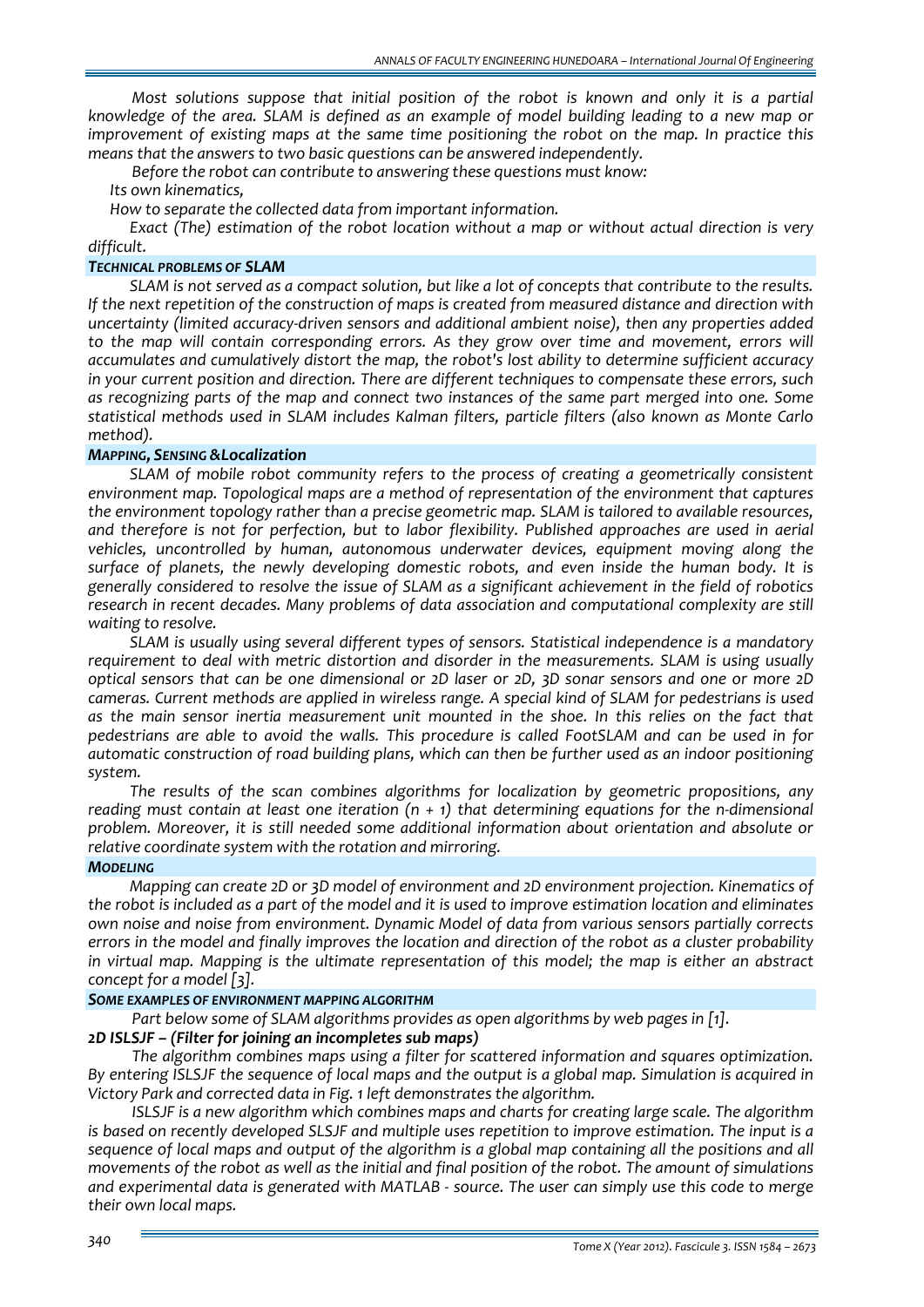*Most solutions suppose that initial position of the robot is known and only it is a partial* knowledge of the area. SLAM is defined as an example of model building leading to a new map or *improvement of existing maps at the same time positioning the robot on the map. In practice this means that the answers to two basic questions can be answered independently.*

*Before the robot can contribute to answering these questions must know:*

*Its own kinematics,*

*How to separate the collected data from important information.*

*Exact (The) estimation of the robot location without a map or without actual direction is very difficult.*

## *TECHNICAL PROBLEMS OF SLAM*

SLAM is not served as a compact solution, but like a lot of concepts that contribute to the results. *If the next repetition of the construction of maps is created from measured distance and direction with uncertainty (limited accuracy‐driven sensors and additional ambient noise), then any properties added to the map will contain corresponding errors. As they grow over time and movement, errors will accumulates and cumulatively distort the map, the robot's lost ability to determine sufficient accuracy in your current position and direction. There are different techniques to compensate these errors, such as recognizing parts of the map and connect two instances of the same part merged into one. Some statistical methods used in SLAM includes Kalman filters, particle filters (also known as Monte Carlo method).*

## *MAPPING, SENSING &Localization*

*SLAM of mobile robot community refers to the process of creating a geometrically consistent environment map. Topological maps are a method of representation of the environment that captures the environment topology rather than a precise geometric map. SLAM is tailored to available resources, and therefore is not for perfection, but to labor flexibility. Published approaches are used in aerial vehicles, uncontrolled by human, autonomous underwater devices, equipment moving along the surface of planets, the newly developing domestic robots, and even inside the human body. It is generally considered to resolve the issue of SLAM as a significant achievement in the field of robotics research in recent decades. Many problems of data association and computational complexity are still waiting to resolve.*

*SLAM is usually using several different types of sensors. Statistical independence is a mandatory requirement to deal with metric distortion and disorder in the measurements. SLAM is using usually* optical sensors that can be one dimensional or 2D laser or 2D, 3D sonar sensors and one or more 2D *cameras. Current methods are applied in wireless range. A special kind of SLAM for pedestrians is used as the main sensor inertia measurement unit mounted in the shoe. In this relies on the fact that pedestrians are able to avoid the walls. This procedure is called FootSLAM and can be used in for automatic construction of road building plans, which can then be further used as an indoor positioning system.*

*The results of the scan combines algorithms for localization by geometric propositions, any* reading must contain at least one iteration  $(n + 1)$  that determining equations for the n-dimensional *problem. Moreover, it is still needed some additional information about orientation and absolute or relative coordinate system with the rotation and mirroring.*

#### *MODELING*

*Mapping can create 2D or 3D model of environment and 2D environment projection. Kinematics of* the robot is included as a part of the model and it is used to improve estimation location and eliminates *own noise and noise from environment. Dynamic Model of data from various sensors partially corrects* errors in the model and finally improves the location and direction of the robot as a cluster probability *in virtual map. Mapping is the ultimate representation of this model; the map is either an abstract concept for a model [3].*

#### *SOME EXAMPLES OF ENVIRONMENT MAPPING ALGORITHM*

*Part below some of SLAM algorithms provides as open algorithms by web pages in [1]. 2D ISLSJF – (Filter for joining an incompletes sub maps)*

*The algorithm combines maps using a filter for scattered information and squares optimization.* By entering ISLSJF the sequence of local maps and the output is a global map. Simulation is acquired in *Victory Park and corrected data in Fig. 1 left demonstrates the algorithm.*

*ISLSJF is a new algorithm which combines maps and charts for creating large scale. The algorithm is based on recently developed SLSJF and multiple uses repetition to improve estimation. The input is a* sequence of local maps and output of the algorithm is a global map containing all the positions and all movements of the robot as well as the initial and final position of the robot. The amount of simulations and experimental data is generated with MATLAB - source. The user can simply use this code to merge *their own local maps.*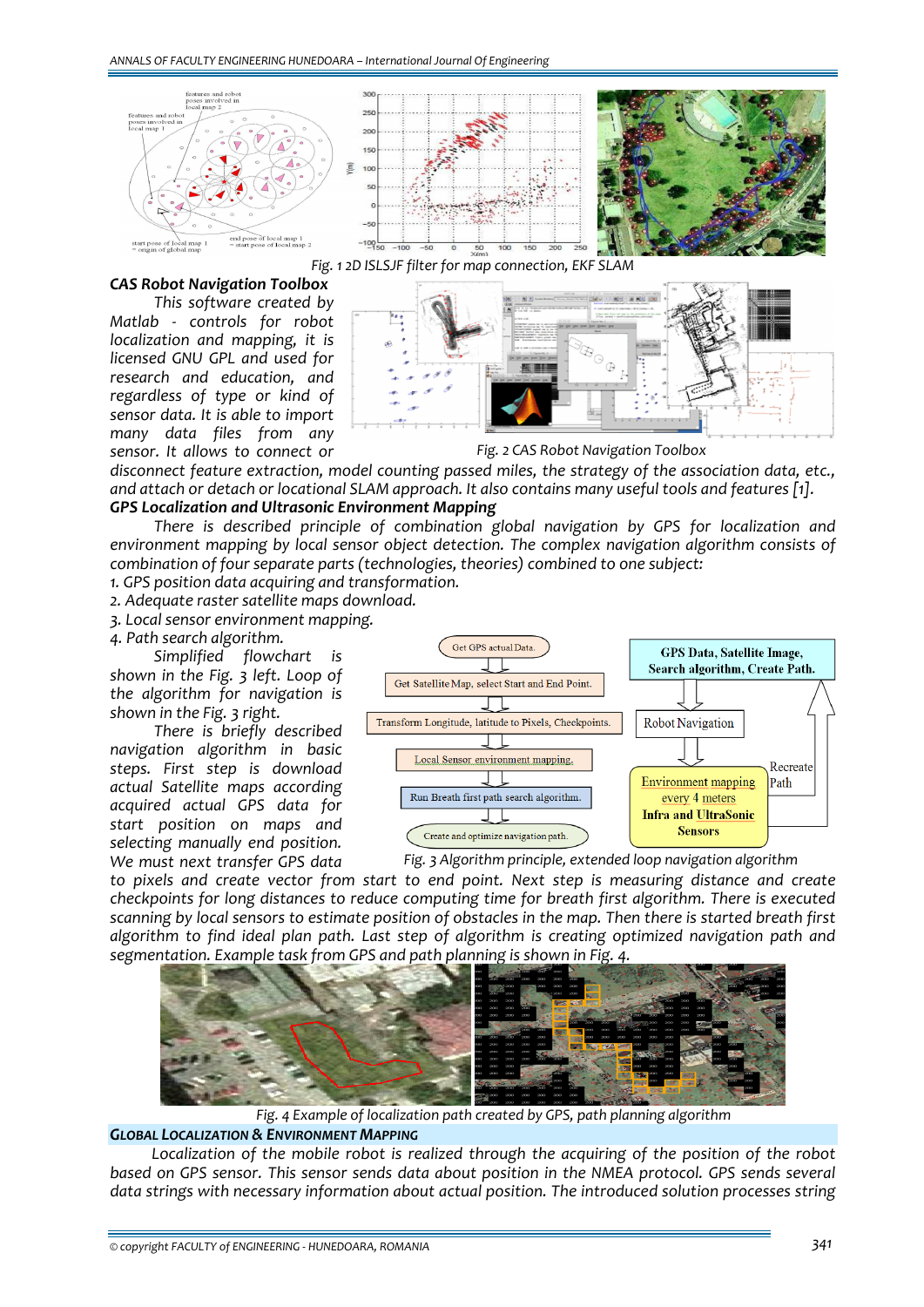





#### *CAS Robot Navigation Toolbox*

*This software created by Matlab ‐ controls for robot localization and mapping, it is licensed GNU GPL and used for research and education, and regardless of type or kind of sensor data. It is able to import many data files from any sensor. It allows to connect or*



*Fig. 2 CAS Robot Navigation Toolbox*

*disconnect feature extraction, model counting passed miles, the strategy of the association data, etc.,* and attach or detach or locational SLAM approach. It also contains many useful tools and features [1]. *GPS Localization and Ultrasonic Environment Mapping*

### *There is described principle of combination global navigation by GPS for localization and environment mapping by local sensor object detection. The complex navigation algorithm consists of combination of four separate parts (technologies, theories) combined to one subject:*

*1. GPS position data acquiring and transformation.*

*2. Adequate raster satellite maps download.*

*3. Local sensor environment mapping.*

*4. Path search algorithm.*

*Simplified flowchart is shown in the Fig. 3 left. Loop of the algorithm for navigation is shown in the Fig. 3 right.*

*There is briefly described navigation algorithm in basic steps. First step is download actual Satellite maps according acquired actual GPS data for start position on maps and selecting manually end position. We must next transfer GPS data*



*Fig. 3 Algorithm principle, extended loop navigation algorithm*

*to pixels and create vector from start to end point. Next step is measuring distance and create checkpoints for long distances to reduce computing time for breath first algorithm. There is executed* scanning by local sensors to estimate position of obstacles in the map. Then there is started breath first *algorithm to find ideal plan path. Last step of algorithm is creating optimized navigation path and segmentation. Example task from GPS and path planning is shown in Fig. 4.*



*Fig. 4 Example of localization path created by GPS, path planning algorithm*

## *GLOBAL LOCALIZATION & ENVIRONMENT MAPPING*

*Localization of the mobile robot is realized through the acquiring of the position of the robot based on GPS sensor. This sensor sends data about position in the NMEA protocol. GPS sends several data strings with necessary information about actual position. The introduced solution processes string*